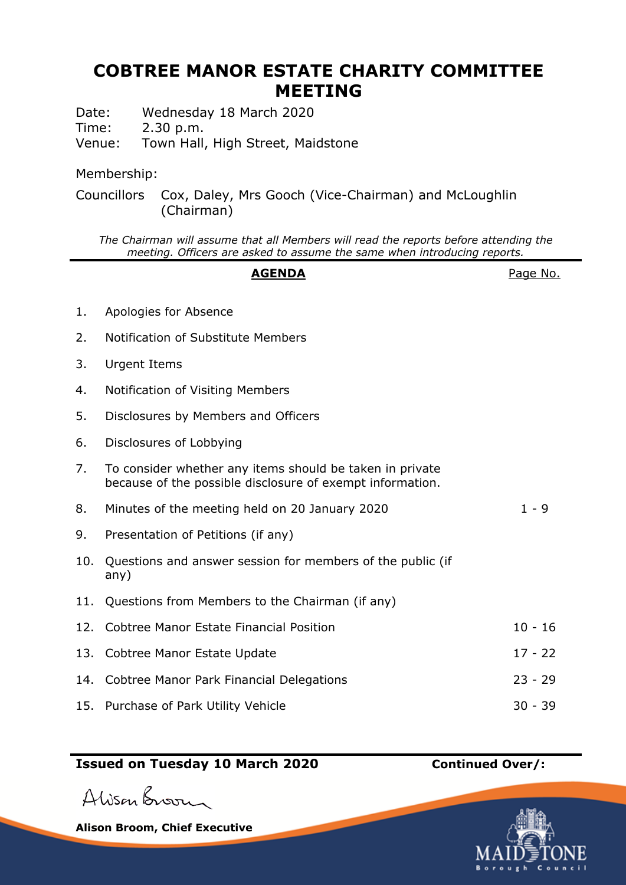## **COBTREE MANOR ESTATE CHARITY COMMITTEE MEETING**

Date: Wednesday 18 March 2020

Time: 2.30 p.m.

Venue: Town Hall, High Street, Maidstone

## Membership:

Councillors Cox, Daley, Mrs Gooch (Vice-Chairman) and McLoughlin (Chairman)

*The Chairman will assume that all Members will read the reports before attending the meeting. Officers are asked to assume the same when introducing reports.*

|     | <b>AGENDA</b>                                                                                                         | Page No.  |
|-----|-----------------------------------------------------------------------------------------------------------------------|-----------|
| 1.  | Apologies for Absence                                                                                                 |           |
| 2.  | Notification of Substitute Members                                                                                    |           |
| 3.  | <b>Urgent Items</b>                                                                                                   |           |
| 4.  | Notification of Visiting Members                                                                                      |           |
| 5.  | Disclosures by Members and Officers                                                                                   |           |
| 6.  | Disclosures of Lobbying                                                                                               |           |
| 7.  | To consider whether any items should be taken in private<br>because of the possible disclosure of exempt information. |           |
| 8.  | Minutes of the meeting held on 20 January 2020                                                                        | $1 - 9$   |
| 9.  | Presentation of Petitions (if any)                                                                                    |           |
| 10. | Questions and answer session for members of the public (if<br>any)                                                    |           |
| 11. | Questions from Members to the Chairman (if any)                                                                       |           |
| 12. | <b>Cobtree Manor Estate Financial Position</b>                                                                        | $10 - 16$ |
|     | 13. Cobtree Manor Estate Update                                                                                       | $17 - 22$ |
| 14. | Cobtree Manor Park Financial Delegations                                                                              | $23 - 29$ |
| 15. | Purchase of Park Utility Vehicle                                                                                      | $30 - 39$ |

## **Issued on Tuesday 10 March 2020 Continued Over/:**

Alisan Broom

**Alison Broom, Chief Executive**